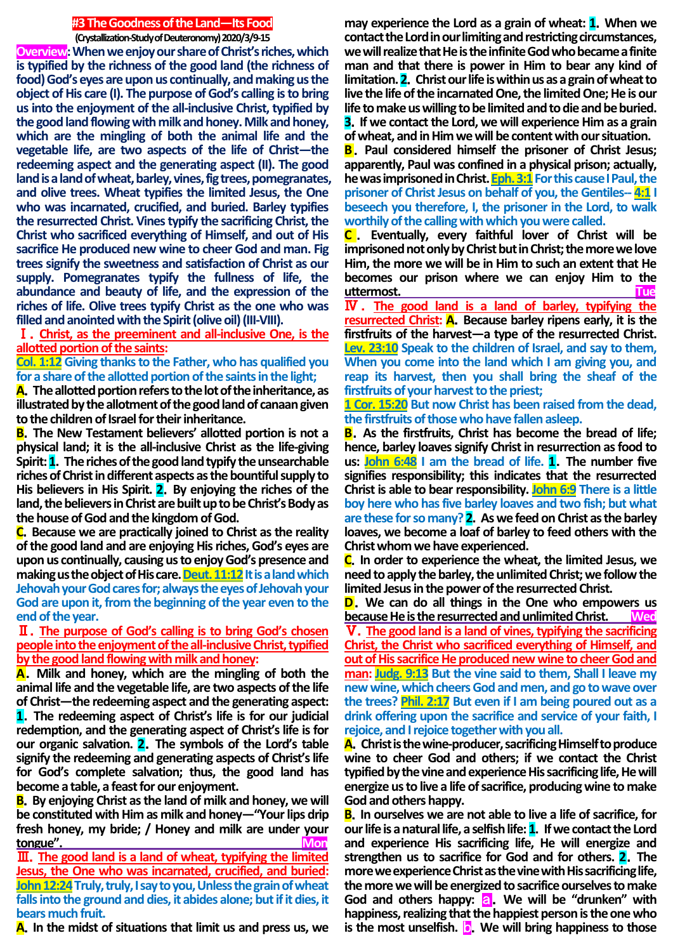## **#3 The Goodness of the Land—Its Food**

**(Crystallization-Study of Deuteronomy) 2020/3/9-15**

**Overview:When we enjoy our share of Christ's riches, which is typified by the richness of the good land (the richness of food)God's eyes are upon us continually, and making us the object of His care (I). The purpose of God's calling is to bring usinto the enjoyment of the all-inclusive Christ, typified by the good land flowing with milk and honey. Milk and honey, which are the mingling of both the animal life and the vegetable life, are two aspects of the life of Christ—the redeeming aspect and the generating aspect (II). The good land is a land of wheat, barley, vines, fig trees, pomegranates, and olive trees. Wheat typifies the limited Jesus, the One who was incarnated, crucified, and buried. Barley typifies the resurrected Christ. Vines typify the sacrificing Christ, the Christ who sacrificed everything of Himself, and out of His sacrifice He produced new wine to cheer God and man. Fig trees signify the sweetness and satisfaction of Christ as our supply. Pomegranates typify the fullness of life, the abundance and beauty of life, and the expression of the riches of life. Olive trees typify Christ as the one who was filled and anointed with the Spirit (olive oil) (III-VIII).**

Ⅰ.**Christ, as the preeminent and all-inclusive One, is the allotted portion of the saints:** 

**Col. 1:12 Giving thanks to the Father, who has qualified you for a share of the allotted portion of the saints in the light;**

**A**.**The allotted portion refers to the lot of the inheritance, as illustrated by the allotment of the good land of canaan given to the children of Israel for their inheritance.**

**B**.**The New Testament believers' allotted portion is not a physical land; it is the all-inclusive Christ as the life-giving Spirit: 1**.**The riches of the good land typify the unsearchable riches of Christ in different aspects as the bountiful supply to His believers in His Spirit. 2**.**By enjoying the riches of the land, the believers in Christ are built up to be Christ's Body as the house of God and the kingdom of God.**

**C**.**Because we are practically joined to Christ as the reality of the good land and are enjoying His riches, God's eyes are upon us continually, causing us to enjoy God's presence and making us the object of His care. Deut. 11:12** It is a land which **Jehovah your God cares for; always the eyes of Jehovah your God are upon it, from the beginning of the year even to the end of the year.**

## Ⅱ.**The purpose of God's calling is to bring God's chosen people into the enjoyment of the all-inclusive Christ, typified by the good land flowing with milk and honey:**

**A**.**Milk and honey, which are the mingling of both the animal life and the vegetable life, are two aspects of the life of Christ—the redeeming aspect and the generating aspect:** 

**1**.**The redeeming aspect of Christ's life is for our judicial redemption, and the generating aspect of Christ's life is for our organic salvation. 2**.**The symbols of the Lord's table signify the redeeming and generating aspects of Christ's life for God's complete salvation; thus, the good land has become a table, a feast for our enjoyment.**

**B**.**By enjoying Christ as the land of milk and honey, we will be constituted with Him as milk and honey—"Your lips drip fresh honey, my bride; / Honey and milk are under your tongue**".

Ⅲ.**The good land is a land of wheat, typifying the limited Jesus, the One who was incarnated, crucified, and buried: John 12:24Truly, truly, I say to you, Unless the grain of wheat falls into the ground and dies, it abides alone; but if it dies, it bears much fruit.**

**A**.**In the midst of situations that limit us and press us, we** 

**may experience the Lord as a grain of wheat: 1**.**When we contact the Lord in our limiting and restricting circumstances, we will realize that He is the infinite God who became a finite man and that there is power in Him to bear any kind of limitation. 2**.**Christ our life is within us as a grain of wheat to live the life of the incarnated One, the limited One; He is our life to make us willing to be limited and to die and be buried. 3**.**If we contact the Lord, we will experience Him as a grain of wheat, and in Him we will be content with our situation.**

**B**.**Paul considered himself the prisoner of Christ Jesus; apparently, Paul was confined in a physical prison; actually,**  he was imprisoned in Christ. **Eph. 3:1** For this cause I Paul, the **prisoner of Christ Jesus on behalf of you, the Gentiles-- 4:1 I beseech you therefore, I, the prisoner in the Lord, to walk worthily of the calling with which you were called.**

**C** . **Eventually, every faithful lover of Christ will be imprisoned not only by Christ but in Christ; the more we love Him, the more we will be in Him to such an extent that He becomes our prison where we can enjoy Him to the uttermost. Tue**

Ⅳ . **The good land is a land of barley, typifying the resurrected Christ: A**.**Because barley ripens early, it is the firstfruits of the harvest—a type of the resurrected Christ. Lev. 23:10 Speak to the children of Israel, and say to them, When you come into the land which I am giving you, and reap its harvest, then you shall bring the sheaf of the firstfruits of your harvest to the priest;**

**1 Cor. 15:20 But now Christ has been raised from the dead, the firstfruits of those who have fallen asleep.**

**B**.**As the firstfruits, Christ has become the bread of life; hence, barley loaves signify Christ in resurrection as food to us: John 6:48 I am the bread of life. 1**.**The number five signifies responsibility; this indicates that the resurrected Christ is able to bear responsibility. John 6:9 There is a little boy here who has five barley loaves and two fish; but what are these for so many? 2**.**As we feed on Christ as the barley loaves, we become a loaf of barley to feed others with the Christ whom we have experienced.**

**C**.**In order to experience the wheat, the limited Jesus, we need to apply the barley, the unlimited Christ; we follow the limited Jesus in the power of the resurrected Christ.**

**D**.**We can do all things in the One who empowers us because He is the resurrected and unlimited Christ. Wed**

Ⅴ.**The good land is a land of vines, typifying the sacrificing Christ, the Christ who sacrificed everything of Himself, and out of His sacrifice He produced new wine to cheer God and man: Judg. 9:13 But the vine said to them, Shall I leave my new wine, which cheers God and men, and go to wave over the trees? Phil. 2:17 But even if I am being poured out as a drink offering upon the sacrifice and service of your faith, I rejoice, and I rejoice together with you all.**

**A**.**Christ is the wine-producer, sacrificing Himself to produce wine to cheer God and others; if we contact the Christ typified by the vine and experience His sacrificing life, He will energize us to live a life of sacrifice, producing wine to make God and others happy.** 

**B**.**In ourselves we are not able to live a life of sacrifice, for our life is a natural life, a selfish life: 1**.**If we contact the Lord and experience His sacrificing life, He will energize and strengthen us to sacrifice for God and for others. 2**.**The more we experience Christ as the vine with His sacrificing life, the more we will be energized to sacrifice ourselves to make**  God and others happy: **a.** We will be "drunken" with **happiness, realizing that the happiest person is the one who is the most unselfish. b.** We will bring happiness to those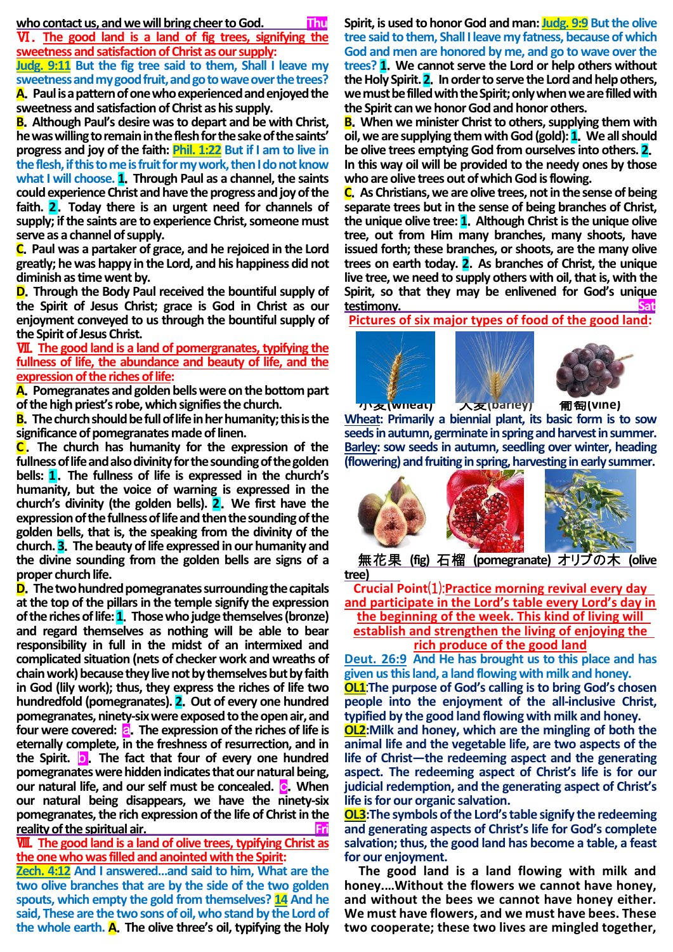### who contact us, and we will bring cheer to God. Thu

Ⅵ.**The good land is a land of fig trees, signifying the sweetness and satisfaction of Christ as our supply: Judg. 9:11 But the fig tree said to them, Shall I leave my** 

**sweetness and my good fruit, and go to wave over the trees? A**.**Paul is a pattern of one who experienced and enjoyed the sweetness and satisfaction of Christ as his supply.**

**B**.**Although Paul's desire was to depart and be with Christ, he was willing to remain in the flesh for the sake of the saints' progress and joy of the faith: Phil. 1:22 But if I am to live in the flesh, if this to me is fruit for my work, then I do not know what I will choose. 1**.**Through Paul as a channel, the saints could experience Christ and have the progress and joy of the faith. 2**.**Today there is an urgent need for channels of supply; if the saints are to experience Christ, someone must serve as a channel of supply.**

**C**.**Paul was a partaker of grace, and he rejoiced in the Lord greatly; he was happy in the Lord, and his happiness did not diminish as time went by.** 

**D**.**Through the Body Paul received the bountiful supply of the Spirit of Jesus Christ; grace is God in Christ as our enjoyment conveyed to us through the bountiful supply of the Spirit of Jesus Christ.**

Ⅶ.**The good land is a land of pomergranates, typifying the fullness of life, the abundance and beauty of life, and the expression of the riches of life:**

**A**.**Pomegranates and golden bells were on the bottom part of the high priest's robe, which signifies the church.** 

**B**.**The church should be full of life in her humanity; this is the significance of pomegranates made of linen.**

**C**.**The church has humanity for the expression of the fullness of life and also divinity for the sounding of the golden bells: 1**.**The fullness of life is expressed in the church's humanity, but the voice of warning is expressed in the church's divinity (the golden bells). 2**.**We first have the expression of the fullness of life and then the sounding of the golden bells, that is, the speaking from the divinity of the church. 3**.**The beauty of life expressed in our humanity and the divine sounding from the golden bells are signs of a proper church life.**

**D**.**The two hundred pomegranates surrounding the capitals at the top of the pillars in the temple signify the expression of the riches of life: 1**.**Those who judge themselves (bronze) and regard themselves as nothing will be able to bear responsibility in full in the midst of an intermixed and complicated situation (nets of checker work and wreaths of chain work) because they live not by themselves but by faith in God (lily work); thus, they express the riches of life two hundredfold (pomegranates). 2**.**Out of every one hundred pomegranates, ninety-six were exposed to the open air, and four were covered:** a.**The expression of the riches of life is eternally complete, in the freshness of resurrection, and in the Spirit.** b.**The fact that four of every one hundred pomegranates were hidden indicates that our natural being, our natural life, and our self must be concealed. C. When our natural being disappears, we have the ninety-six pomegranates, the rich expression of the life of Christ in the**  reality of the spiritual air.

Ⅷ.**The good land is a land of olive trees, typifying Christ as the one who was filled and anointed with the Spirit:**

**Zech. 4:12 And I answered…and said to him, What are the two olive branches that are by the side of the two golden spouts, which empty the gold from themselves? 14 And he said, These are the two sons of oil, who stand by the Lord of the whole earth. A**.**The olive three's oil, typifying the Holy**  **Spirit, is used to honor God and man: Judg. 9:9 But the olive tree said to them, Shall I leave my fatness, because of which God and men are honored by me, and go to wave over the trees? 1**.**We cannot serve the Lord or help others without the Holy Spirit. 2**.**In order to serve the Lord and help others, we must be filled with the Spirit; only when we are filled with the Spirit can we honor God and honor others.**

**B.** When we minister Christ to others, supplying them with **oil, we are supplying them with God (gold): 1**.**We all should be olive trees emptying God from ourselves into others. 2**. **In this way oil will be provided to the needy ones by those who are olive trees out of which God is flowing.**

**C**.**As Christians, we are olive trees, not in the sense of being separate trees but in the sense of being branches of Christ, the unique olive tree: 1**.**Although Christ is the unique olive tree, out from Him many branches, many shoots, have issued forth; these branches, or shoots, are the many olive trees on earth today. 2**.**As branches of Christ, the unique live tree, we need to supply others with oil, that is, with the Spirit, so that they may be enlivened for God's unique**   $testimony.$ 

**Pictures of six major types of food of the good land:**







**Wheat: Primarily a biennial plant, its basic form is to sow seeds in autumn, germinate in spring and harvest in summer. Barley: sow seeds in autumn, seedling over winter, heading (flowering) and fruiting in spring, harvesting in early summer.** Ĩ



無花果 **(fig)** 石榴 **(pomegranate)** オリブの木 **(olive tree)**

**Crucial Point**⑴:**Practice morning revival every day and participate in the Lord's table every Lord's day in the beginning of the week. This kind of living will establish and strengthen the living of enjoying the rich produce of the good land**

**Deut. 26:9 And He has brought us to this place and has given us this land, a land flowing with milk and honey. OL1**:**The purpose of God's calling is to bring God's chosen people into the enjoyment of the all-inclusive Christ, typified by the good land flowing with milk and honey.**

**OL2:Milk and honey, which are the mingling of both the animal life and the vegetable life, are two aspects of the life of Christ—the redeeming aspect and the generating aspect. The redeeming aspect of Christ's life is for our judicial redemption, and the generating aspect of Christ's life is for our organic salvation.**

**OL3:The symbols of the Lord's table signify the redeeming and generating aspects of Christ's life for God's complete salvation; thus, the good land has become a table, a feast for our enjoyment.**

**The good land is a land flowing with milk and honey.…Without the flowers we cannot have honey, and without the bees we cannot have honey either. We must have flowers, and we must have bees. These two cooperate; these two lives are mingled together,**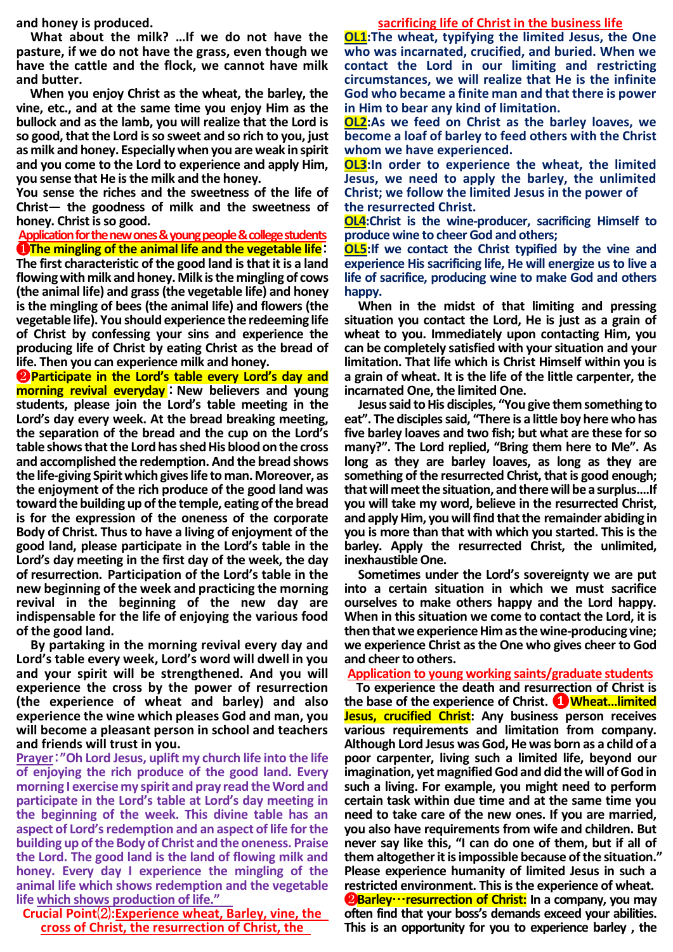**and honey is produced.**

**What about the milk? …If we do not have the pasture, if we do not have the grass, even though we have the cattle and the flock, we cannot have milk and butter.** 

**When you enjoy Christ as the wheat, the barley, the vine, etc., and at the same time you enjoy Him as the bullock and as the lamb, you will realize that the Lord is so good, that the Lord is so sweet and so rich to you, just as milk and honey. Especially when you are weak in spirit and you come to the Lord to experience and apply Him, you sense that He is the milk and the honey.**

**You sense the riches and the sweetness of the life of Christ— the goodness of milk and the sweetness of honey. Christ is so good.**

**Application for the new ones & young people & college students** ❶**The mingling of the animal life and the vegetable life**:

**The first characteristic of the good land is that it is a land flowing with milk and honey. Milk is the mingling of cows (the animal life) and grass(the vegetable life) and honey is the mingling of bees (the animal life) and flowers (the vegetable life). You should experience the redeeming life of Christ by confessing your sins and experience the producing life of Christ by eating Christ as the bread of life. Then you can experience milk and honey.** 

❷**Participate in the Lord's table every Lord's day and morning revival everyday** :**New believers and young students, please join the Lord's table meeting in the Lord's day every week. At the bread breaking meeting, the separation of the bread and the cup on the Lord's table shows that the Lord has shed His blood on the cross and accomplished the redemption. And the bread shows the life-giving Spirit which gives life to man. Moreover, as the enjoyment of the rich produce of the good land was toward the building up of the temple, eating of the bread is for the expression of the oneness of the corporate Body of Christ. Thus to have a living of enjoyment of the good land, please participate in the Lord's table in the Lord's day meeting in the first day of the week, the day of resurrection. Participation of the Lord's table in the new beginning of the week and practicing the morning revival in the beginning of the new day are indispensable for the life of enjoying the various food of the good land.** 

**By partaking in the morning revival every day and Lord's table every week, Lord's word will dwell in you and your spirit will be strengthened. And you will experience the cross by the power of resurrection (the experience of wheat and barley) and also experience the wine which pleases God and man, you will become a pleasant person in school and teachers and friends will trust in you.**

**Prayer**:**"Oh Lord Jesus, uplift my church life into the life of enjoying the rich produce of the good land. Every morning I exercise my spirit and pray read the Word and participate in the Lord's table at Lord's day meeting in the beginning of the week. This divine table has an aspect of Lord's redemption and an aspect of life for the building up of the Body of Christ and the oneness. Praise the Lord. The good land is the land of flowing milk and honey. Every day I experience the mingling of the animal life which shows redemption and the vegetable life which shows production of life."**

**Crucial Point**⑵**:Experience wheat, Barley, vine, the cross of Christ, the resurrection of Christ, the** 

#### **sacrificing life of Christ in the business life**

**OL1:The wheat, typifying the limited Jesus, the One who was incarnated, crucified, and buried. When we contact the Lord in our limiting and restricting circumstances, we will realize that He is the infinite God who became a finite man and that there is power in Him to bear any kind of limitation.**

**OL2:As we feed on Christ as the barley loaves, we become a loaf of barley to feed others with the Christ whom we have experienced.**

**OL3:In order to experience the wheat, the limited Jesus, we need to apply the barley, the unlimited Christ; we follow the limited Jesus in the power of the resurrected Christ.** 

**OL4:Christ is the wine-producer, sacrificing Himself to produce wine to cheer God and others;**

**OL5:If we contact the Christ typified by the vine and experience His sacrificing life, He will energize us to live a life of sacrifice, producing wine to make God and others happy.**

**When in the midst of that limiting and pressing situation you contact the Lord, He is just as a grain of wheat to you. Immediately upon contacting Him, you can be completely satisfied with your situation and your limitation. That life which is Christ Himself within you is a grain of wheat. It is the life of the little carpenter, the incarnated One, the limited One.** 

**Jesus said to His disciples, "You give them something to eat". The disciples said, "There is a little boy here who has five barley loaves and two fish; but what are these for so many?". The Lord replied, "Bring them here to Me". As long as they are barley loaves, as long as they are something of the resurrected Christ, that is good enough; that will meet the situation, and there will be a surplus.…If you will take my word, believe in the resurrected Christ, and apply Him, you will find that the remainder abiding in you is more than that with which you started. This is the barley. Apply the resurrected Christ, the unlimited, inexhaustible One.** 

**Sometimes under the Lord's sovereignty we are put into a certain situation in which we must sacrifice ourselves to make others happy and the Lord happy. When in this situation we come to contact the Lord, it is then that we experience Him as the wine-producing vine; we experience Christ as the One who gives cheer to God and cheer to others.**

**Application to young working saints/graduate students**

**To experience the death and resurrection of Christ is the base of the experience of Christ. ❶Wheat…limited Jesus, crucified Christ: Any business person receives various requirements and limitation from company. Although Lord Jesus was God, He was born as a child of a poor carpenter, living such a limited life, beyond our imagination, yet magnified God and did the will of God in such a living. For example, you might need to perform certain task within due time and at the same time you need to take care of the new ones. If you are married, you also have requirements from wife and children. But never say like this, "I can do one of them, but if all of them altogether it is impossible because of the situation." Please experience humanity of limited Jesus in such a restricted environment. This is the experience of wheat.** ❷**Barley**…**resurrection of Christ: In a company, you may often find that your boss's demands exceed your abilities. This is an opportunity for you to experience barley , the**